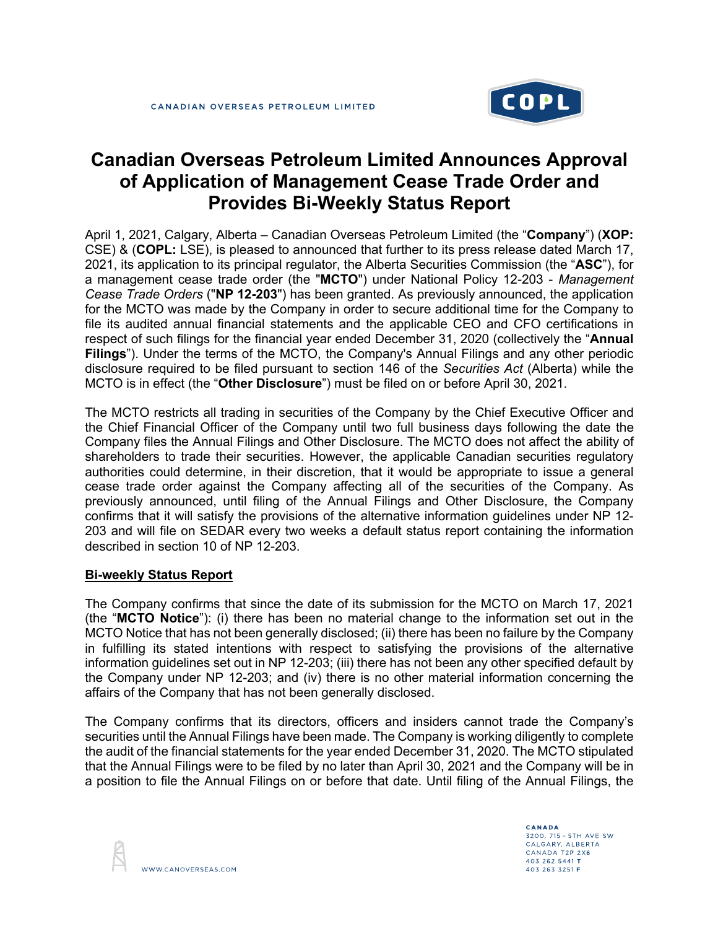

# **Canadian Overseas Petroleum Limited Announces Approval of Application of Management Cease Trade Order and Provides Bi-Weekly Status Report**

April 1, 2021, Calgary, Alberta – Canadian Overseas Petroleum Limited (the "**Company**") (**XOP:** CSE) & (**COPL:** LSE), is pleased to announced that further to its press release dated March 17, 2021, its application to its principal regulator, the Alberta Securities Commission (the "**ASC**"), for a management cease trade order (the "**MCTO**") under National Policy 12-203 - *Management Cease Trade Orders* ("**NP 12-203**") has been granted. As previously announced, the application for the MCTO was made by the Company in order to secure additional time for the Company to file its audited annual financial statements and the applicable CEO and CFO certifications in respect of such filings for the financial year ended December 31, 2020 (collectively the "**Annual Filings**"). Under the terms of the MCTO, the Company's Annual Filings and any other periodic disclosure required to be filed pursuant to section 146 of the *Securities Act* (Alberta) while the MCTO is in effect (the "**Other Disclosure**") must be filed on or before April 30, 2021.

The MCTO restricts all trading in securities of the Company by the Chief Executive Officer and the Chief Financial Officer of the Company until two full business days following the date the Company files the Annual Filings and Other Disclosure. The MCTO does not affect the ability of shareholders to trade their securities. However, the applicable Canadian securities regulatory authorities could determine, in their discretion, that it would be appropriate to issue a general cease trade order against the Company affecting all of the securities of the Company. As previously announced, until filing of the Annual Filings and Other Disclosure, the Company confirms that it will satisfy the provisions of the alternative information guidelines under NP 12- 203 and will file on SEDAR every two weeks a default status report containing the information described in section 10 of NP 12-203.

## **Bi-weekly Status Report**

The Company confirms that since the date of its submission for the MCTO on March 17, 2021 (the "**MCTO Notice**"): (i) there has been no material change to the information set out in the MCTO Notice that has not been generally disclosed; (ii) there has been no failure by the Company in fulfilling its stated intentions with respect to satisfying the provisions of the alternative information guidelines set out in NP 12-203; (iii) there has not been any other specified default by the Company under NP 12-203; and (iv) there is no other material information concerning the affairs of the Company that has not been generally disclosed.

The Company confirms that its directors, officers and insiders cannot trade the Company's securities until the Annual Filings have been made. The Company is working diligently to complete the audit of the financial statements for the year ended December 31, 2020. The MCTO stipulated that the Annual Filings were to be filed by no later than April 30, 2021 and the Company will be in a position to file the Annual Filings on or before that date. Until filing of the Annual Filings, the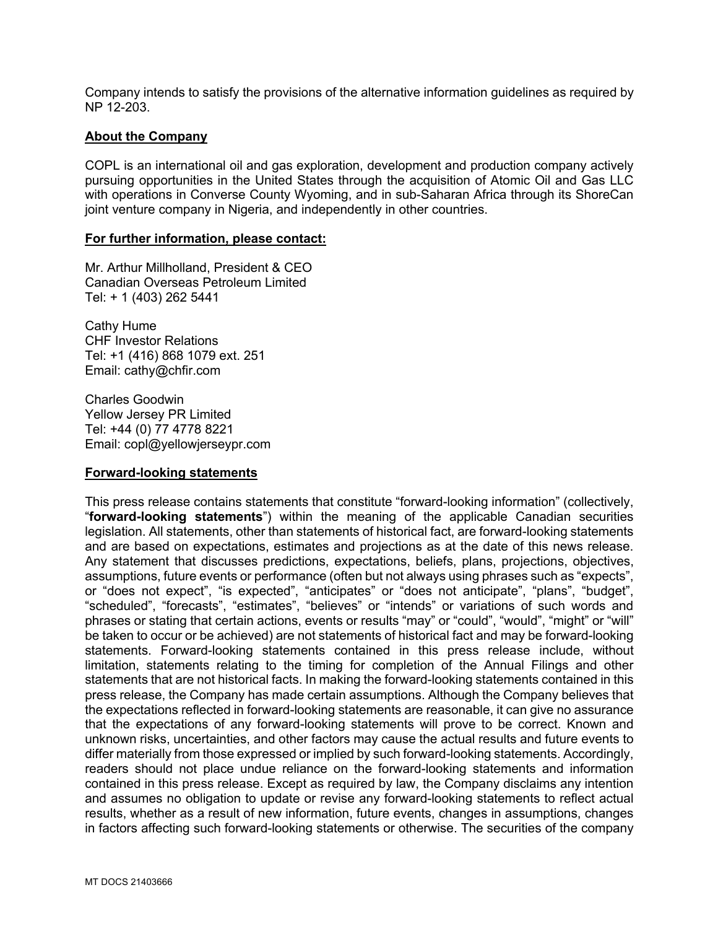Company intends to satisfy the provisions of the alternative information guidelines as required by NP 12-203.

## **About the Company**

COPL is an international oil and gas exploration, development and production company actively pursuing opportunities in the United States through the acquisition of Atomic Oil and Gas LLC with operations in Converse County Wyoming, and in sub-Saharan Africa through its ShoreCan joint venture company in Nigeria, and independently in other countries.

### **For further information, please contact:**

Mr. Arthur Millholland, President & CEO Canadian Overseas Petroleum Limited Tel: + 1 (403) 262 5441

Cathy Hume CHF Investor Relations Tel: +1 (416) 868 1079 ext. 251 Email: cathy@chfir.com

Charles Goodwin Yellow Jersey PR Limited Tel: +44 (0) 77 4778 8221 Email: copl@yellowjerseypr.com

## **Forward-looking statements**

This press release contains statements that constitute "forward-looking information" (collectively, "**forward-looking statements**") within the meaning of the applicable Canadian securities legislation. All statements, other than statements of historical fact, are forward-looking statements and are based on expectations, estimates and projections as at the date of this news release. Any statement that discusses predictions, expectations, beliefs, plans, projections, objectives, assumptions, future events or performance (often but not always using phrases such as "expects", or "does not expect", "is expected", "anticipates" or "does not anticipate", "plans", "budget", "scheduled", "forecasts", "estimates", "believes" or "intends" or variations of such words and phrases or stating that certain actions, events or results "may" or "could", "would", "might" or "will" be taken to occur or be achieved) are not statements of historical fact and may be forward-looking statements. Forward-looking statements contained in this press release include, without limitation, statements relating to the timing for completion of the Annual Filings and other statements that are not historical facts. In making the forward-looking statements contained in this press release, the Company has made certain assumptions. Although the Company believes that the expectations reflected in forward-looking statements are reasonable, it can give no assurance that the expectations of any forward-looking statements will prove to be correct. Known and unknown risks, uncertainties, and other factors may cause the actual results and future events to differ materially from those expressed or implied by such forward-looking statements. Accordingly, readers should not place undue reliance on the forward-looking statements and information contained in this press release. Except as required by law, the Company disclaims any intention and assumes no obligation to update or revise any forward-looking statements to reflect actual results, whether as a result of new information, future events, changes in assumptions, changes in factors affecting such forward-looking statements or otherwise. The securities of the company